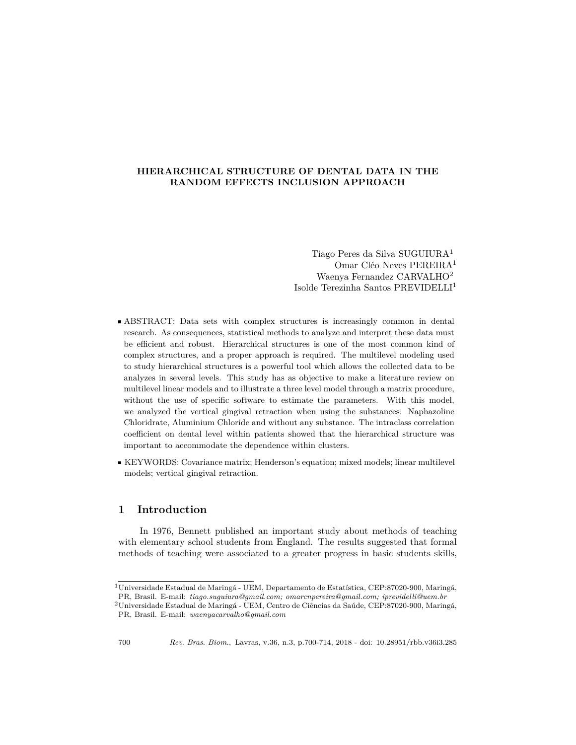## **HIERARCHICAL STRUCTURE OF DENTAL DATA IN THE RANDOM EFFECTS INCLUSION APPROACH**

Tiago Peres da Silva SUGUIURA<sup>1</sup> Omar Cléo Neves PEREIRA<sup>1</sup> Waenya Fernandez CARVALHO<sup>2</sup> Isolde Terezinha Santos PREVIDELLI<sup>1</sup>

- ABSTRACT: Data sets with complex structures is increasingly common in dental research. As consequences, statistical methods to analyze and interpret these data must be efficient and robust. Hierarchical structures is one of the most common kind of complex structures, and a proper approach is required. The multilevel modeling used to study hierarchical structures is a powerful tool which allows the collected data to be analyzes in several levels. This study has as objective to make a literature review on multilevel linear models and to illustrate a three level model through a matrix procedure, without the use of specific software to estimate the parameters. With this model, we analyzed the vertical gingival retraction when using the substances: Naphazoline Chloridrate, Aluminium Chloride and without any substance. The intraclass correlation coefficient on dental level within patients showed that the hierarchical structure was important to accommodate the dependence within clusters.
- KEYWORDS: Covariance matrix; Henderson's equation; mixed models; linear multilevel models; vertical gingival retraction.

# **1 Introduction**

In 1976, Bennett published an important study about methods of teaching with elementary school students from England. The results suggested that formal methods of teaching were associated to a greater progress in basic students skills,

<sup>1</sup>Universidade Estadual de Maringá - UEM, Departamento de Estatística, CEP:87020-900, Maringá, PR, Brasil. E-mail: *tiago.suguiura@gmail.com; omarcnpereira@gmail.com; iprevidelli@uem.br*

<sup>2</sup>Universidade Estadual de Maringá - UEM, Centro de Ciências da Saúde, CEP:87020-900, Maringá, PR, Brasil. E-mail: *waenyacarvalho@gmail.com*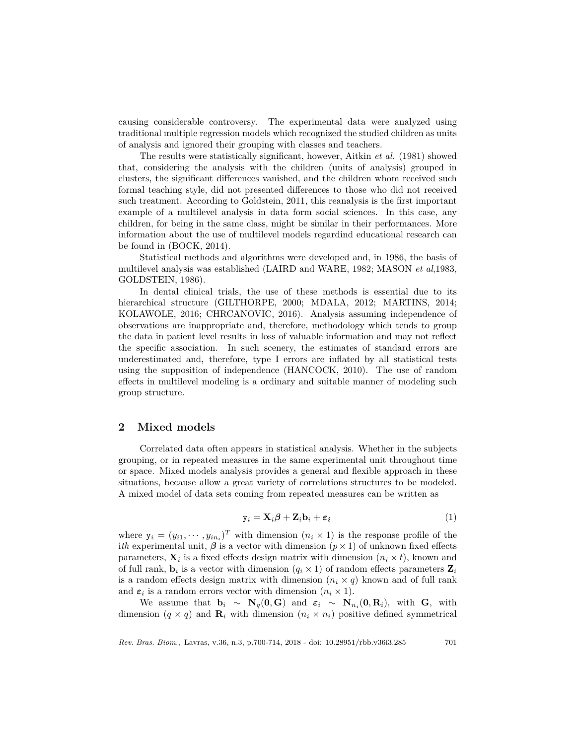causing considerable controversy. The experimental data were analyzed using traditional multiple regression models which recognized the studied children as units of analysis and ignored their grouping with classes and teachers.

The results were statistically significant, however, Aitkin *et al*. (1981) showed that, considering the analysis with the children (units of analysis) grouped in clusters, the significant differences vanished, and the children whom received such formal teaching style, did not presented differences to those who did not received such treatment. According to Goldstein, 2011, this reanalysis is the first important example of a multilevel analysis in data form social sciences. In this case, any children, for being in the same class, might be similar in their performances. More information about the use of multilevel models regardind educational research can be found in (BOCK, 2014).

Statistical methods and algorithms were developed and, in 1986, the basis of multilevel analysis was established (LAIRD and WARE, 1982; MASON *et al*,1983, GOLDSTEIN, 1986).

In dental clinical trials, the use of these methods is essential due to its hierarchical structure (GILTHORPE, 2000; MDALA, 2012; MARTINS, 2014; KOLAWOLE, 2016; CHRCANOVIC, 2016). Analysis assuming independence of observations are inappropriate and, therefore, methodology which tends to group the data in patient level results in loss of valuable information and may not reflect the specific association. In such scenery, the estimates of standard errors are underestimated and, therefore, type I errors are inflated by all statistical tests using the supposition of independence (HANCOCK, 2010). The use of random effects in multilevel modeling is a ordinary and suitable manner of modeling such group structure.

### **2 Mixed models**

Correlated data often appears in statistical analysis. Whether in the subjects grouping, or in repeated measures in the same experimental unit throughout time or space. Mixed models analysis provides a general and flexible approach in these situations, because allow a great variety of correlations structures to be modeled. A mixed model of data sets coming from repeated measures can be written as

$$
\mathbf{y}_i = \mathbf{X}_i \boldsymbol{\beta} + \mathbf{Z}_i \mathbf{b}_i + \boldsymbol{\varepsilon}_i \tag{1}
$$

where  $y_i = (y_{i1}, \dots, y_{in_i})^T$  with dimension  $(n_i \times 1)$  is the response profile of the *ith* experimental unit,  $\beta$  is a vector with dimension  $(p \times 1)$  of unknown fixed effects parameters,  $\mathbf{X}_i$  is a fixed effects design matrix with dimension  $(n_i \times t)$ , known and of full rank,  $\mathbf{b}_i$  is a vector with dimension  $(q_i \times 1)$  of random effects parameters  $\mathbf{Z}_i$ is a random effects design matrix with dimension  $(n_i \times q)$  known and of full rank and  $\varepsilon_i$  is a random errors vector with dimension  $(n_i \times 1)$ .

We assume that  $\mathbf{b}_i \sim \mathbf{N}_q(\mathbf{0}, \mathbf{G})$  and  $\boldsymbol{\varepsilon}_i \sim \mathbf{N}_{n_i}(\mathbf{0}, \mathbf{R}_i)$ , with  $\mathbf{G}$ , with dimension  $(q \times q)$  and  $\mathbf{R}_i$  with dimension  $(n_i \times n_i)$  positive defined symmetrical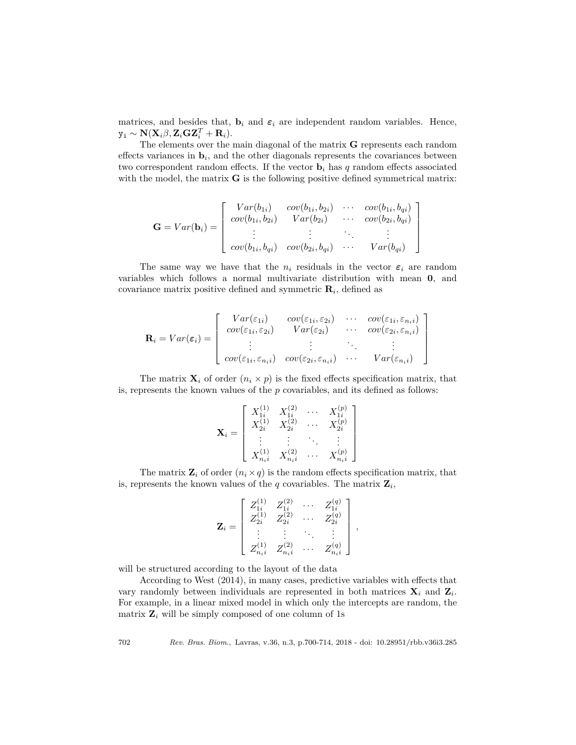matrices, and besides that,  $\mathbf{b}_i$  and  $\boldsymbol{\varepsilon}_i$  are independent random variables. Hence,  $\mathbf{y_i} \sim \mathbf{N}(\mathbf{X}_i\beta, \mathbf{Z}_i\mathbf{G}\mathbf{Z}_i^T + \mathbf{R}_i).$ 

The elements over the main diagonal of the matrix **G** represents each random effects variances in  $\mathbf{b}_i$ , and the other diagonals represents the covariances between two correspondent random effects. If the vector  $\mathbf{b}_i$  has  $q$  random effects associated with the model, the matrix **G** is the following positive defined symmetrical matrix:

$$
\mathbf{G} = Var(\mathbf{b}_i) = \begin{bmatrix} Var(b_{1i}) & cov(b_{1i}, b_{2i}) & \cdots & cov(b_{1i}, b_{qi}) \\ cov(b_{1i}, b_{2i}) & Var(b_{2i}) & \cdots & cov(b_{2i}, b_{qi}) \\ \vdots & \vdots & \ddots & \vdots \\ cov(b_{1i}, b_{qi}) & cov(b_{2i}, b_{qi}) & \cdots & Var(b_{qi}) \end{bmatrix}
$$

The same way we have that the  $n_i$  residuals in the vector  $\varepsilon_i$  are random variables which follows a normal multivariate distribution with mean **0**, and covariance matrix positive defined and symmetric **R***<sup>i</sup>* , defined as

$$
\mathbf{R}_{i} = Var(\varepsilon_{i}) = \begin{bmatrix} Var(\varepsilon_{1i}) & cov(\varepsilon_{1i}, \varepsilon_{2i}) & \cdots & cov(\varepsilon_{1i}, \varepsilon_{n_{i}i}) \\ cov(\varepsilon_{1i}, \varepsilon_{2i}) & Var(\varepsilon_{2i}) & \cdots & cov(\varepsilon_{2i}, \varepsilon_{n_{i}i}) \\ \vdots & \vdots & \ddots & \vdots \\ cov(\varepsilon_{1i}, \varepsilon_{n_{i}i}) & cov(\varepsilon_{2i}, \varepsilon_{n_{i}i}) & \cdots & Var(\varepsilon_{n_{i}i}) \end{bmatrix}
$$

The matrix  $\mathbf{X}_i$  of order  $(n_i \times p)$  is the fixed effects specification matrix, that is, represents the known values of the *p* covariables, and its defined as follows:

$$
\mathbf{X}_i = \left[ \begin{array}{cccc} X_{1i}^{(1)} & X_{1i}^{(2)} & \cdots & X_{1i}^{(p)} \\ X_{2i}^{(1)} & X_{2i}^{(2)} & \cdots & X_{2i}^{(p)} \\ \vdots & \vdots & \ddots & \vdots \\ X_{n_i i}^{(1)} & X_{n_i i}^{(2)} & \cdots & X_{n_i i}^{(p)} \end{array} \right]
$$

The matrix  $\mathbf{Z}_i$  of order  $(n_i \times q)$  is the random effects specification matrix, that is, represents the known values of the  $q$  covariables. The matrix  $\mathbf{Z}_i$ ,

$$
\mathbf{Z}_i = \left[ \begin{array}{cccc} Z_{1i}^{(1)} & Z_{1i}^{(2)} & \cdots & Z_{1i}^{(q)} \\ Z_{2i}^{(1)} & Z_{2i}^{(2)} & \cdots & Z_{2i}^{(q)} \\ \vdots & \vdots & \ddots & \vdots \\ Z_{n_i i}^{(1)} & Z_{n_i i}^{(2)} & \cdots & Z_{n_i i}^{(q)} \end{array} \right],
$$

will be structured according to the layout of the data

According to West (2014), in many cases, predictive variables with effects that vary randomly between individuals are represented in both matrices  $\mathbf{X}_i$  and  $\mathbf{Z}_i$ . For example, in a linear mixed model in which only the intercepts are random, the matrix  $\mathbf{Z}_i$  will be simply composed of one column of 1s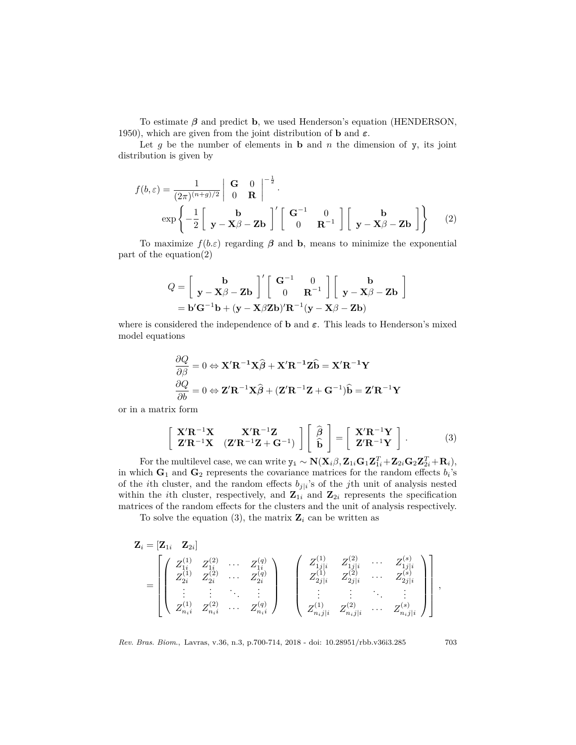To estimate *β* and predict **b**, we used Henderson's equation (HENDERSON, 1950), which are given from the joint distribution of **b** and *ε*.

Let  $g$  be the number of elements in  $b$  and  $n$  the dimension of  $y$ , its joint distribution is given by

$$
f(b,\varepsilon) = \frac{1}{(2\pi)^{(n+g)/2}} \begin{vmatrix} \mathbf{G} & 0 \\ 0 & \mathbf{R} \end{vmatrix}^{-\frac{1}{2}}.
$$
  
exp $\left\{-\frac{1}{2}\begin{bmatrix} \mathbf{b} \\ \mathbf{y} - \mathbf{X}\beta - \mathbf{Z}\mathbf{b} \end{bmatrix}' \begin{bmatrix} \mathbf{G}^{-1} & 0 \\ 0 & \mathbf{R}^{-1} \end{bmatrix} \begin{bmatrix} \mathbf{b} \\ \mathbf{y} - \mathbf{X}\beta - \mathbf{Z}\mathbf{b} \end{bmatrix} \right\}$  (2)

To maximize  $f(b.\varepsilon)$  regarding  $\beta$  and **b**, means to minimize the exponential part of the equation(2)

$$
Q = \begin{bmatrix} \mathbf{b} \\ \mathbf{y} - \mathbf{X}\beta - \mathbf{Z}\mathbf{b} \end{bmatrix}' \begin{bmatrix} \mathbf{G}^{-1} & 0 \\ 0 & \mathbf{R}^{-1} \end{bmatrix} \begin{bmatrix} \mathbf{b} \\ \mathbf{y} - \mathbf{X}\beta - \mathbf{Z}\mathbf{b} \end{bmatrix}
$$
  
=  $\mathbf{b}'\mathbf{G}^{-1}\mathbf{b} + (\mathbf{y} - \mathbf{X}\beta\mathbf{Z}\mathbf{b})'\mathbf{R}^{-1}(\mathbf{y} - \mathbf{X}\beta - \mathbf{Z}\mathbf{b})$ 

where is considered the independence of **b** and *ε*. This leads to Henderson's mixed model equations

$$
\frac{\partial Q}{\partial \beta} = 0 \Leftrightarrow \mathbf{X}' \mathbf{R}^{-1} \mathbf{X} \widehat{\boldsymbol{\beta}} + \mathbf{X}' \mathbf{R}^{-1} \mathbf{Z} \widehat{\mathbf{b}} = \mathbf{X}' \mathbf{R}^{-1} \mathbf{Y}
$$

$$
\frac{\partial Q}{\partial b} = 0 \Leftrightarrow \mathbf{Z}' \mathbf{R}^{-1} \mathbf{X} \widehat{\boldsymbol{\beta}} + (\mathbf{Z}' \mathbf{R}^{-1} \mathbf{Z} + \mathbf{G}^{-1}) \widehat{\mathbf{b}} = \mathbf{Z}' \mathbf{R}^{-1} \mathbf{Y}
$$

or in a matrix form

$$
\begin{bmatrix}\nX' \mathbf{R}^{-1} \mathbf{X} & \mathbf{X}' \mathbf{R}^{-1} \mathbf{Z} \\
\mathbf{Z}' \mathbf{R}^{-1} \mathbf{X} & (\mathbf{Z}' \mathbf{R}^{-1} \mathbf{Z} + \mathbf{G}^{-1})\n\end{bmatrix}\n\begin{bmatrix}\n\hat{\boldsymbol{\beta}} \\
\hat{\mathbf{b}}\n\end{bmatrix}\n=\n\begin{bmatrix}\nX' \mathbf{R}^{-1} \mathbf{Y} \\
\mathbf{Z}' \mathbf{R}^{-1} \mathbf{Y}\n\end{bmatrix}.
$$
\n(3)

 $\text{For the multilevel case, we can write } \mathbf{y_i} \sim \mathbf{N}(\mathbf{X}_i \beta, \mathbf{Z}_{1i} \mathbf{G}_1 \mathbf{Z}_{1i}^T + \mathbf{Z}_{2i} \mathbf{G}_2 \mathbf{Z}_{2i}^T + \mathbf{R}_i),$ in which  $\mathbf{G}_1$  and  $\mathbf{G}_2$  represents the covariance matrices for the random effects  $b_i$ 's of the *i*th cluster, and the random effects  $b_{j|i}$ 's of the *j*th unit of analysis nested within the *i*th cluster, respectively, and  $\mathbf{Z}_{1i}$  and  $\mathbf{Z}_{2i}$  represents the specification matrices of the random effects for the clusters and the unit of analysis respectively.

To solve the equation (3), the matrix  $\mathbf{Z}_i$  can be written as

$$
\mathbf{Z}_{i} = \begin{bmatrix} \mathbf{Z}_{1i} & \mathbf{Z}_{2i} \end{bmatrix} \\
= \begin{bmatrix} Z_{1i}^{(1)} & Z_{1i}^{(2)} & \cdots & Z_{1i}^{(q)} \\ Z_{2i}^{(1)} & Z_{2i}^{(2)} & \cdots & Z_{2i}^{(q)} \\ \vdots & \vdots & \ddots & \vdots \\ Z_{n,i}^{(1)} & Z_{n_{i}i}^{(2)} & \cdots & Z_{n_{i}i}^{(q)} \end{bmatrix} \begin{bmatrix} Z_{1j|i}^{(1)} & Z_{1j|i}^{(2)} & \cdots & Z_{1j|i}^{(s)} \\ Z_{2j|i}^{(1)} & Z_{2j|i}^{(2)} & \cdots & Z_{2j|i}^{(s)} \\ \vdots & \vdots & \ddots & \vdots \\ Z_{n_{i}j|i}^{(1)} & Z_{n_{i}j|i}^{(2)} & \cdots & Z_{n_{i}j|i}^{(s)} \end{bmatrix},
$$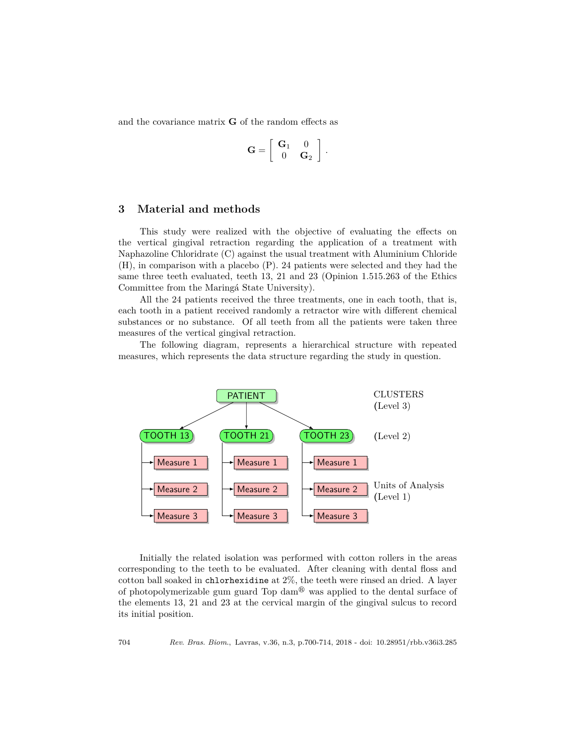and the covariance matrix **G** of the random effects as

$$
\mathbf{G} = \left[ \begin{array}{cc} \mathbf{G}_1 & 0 \\ 0 & \mathbf{G}_2 \end{array} \right].
$$

## **3 Material and methods**

This study were realized with the objective of evaluating the effects on the vertical gingival retraction regarding the application of a treatment with Naphazoline Chloridrate (C) against the usual treatment with Aluminium Chloride (H), in comparison with a placebo (P). 24 patients were selected and they had the same three teeth evaluated, teeth 13, 21 and 23 (Opinion 1.515.263 of the Ethics Committee from the Maringá State University).

All the 24 patients received the three treatments, one in each tooth, that is, each tooth in a patient received randomly a retractor wire with different chemical substances or no substance. Of all teeth from all the patients were taken three measures of the vertical gingival retraction.

The following diagram, represents a hierarchical structure with repeated measures, which represents the data structure regarding the study in question.



Initially the related isolation was performed with cotton rollers in the areas corresponding to the teeth to be evaluated. After cleaning with dental floss and cotton ball soaked in chlorhexidine at 2%, the teeth were rinsed an dried. A layer of photopolymerizable gum guard Top dam $\mathcal{D}$  was applied to the dental surface of the elements 13, 21 and 23 at the cervical margin of the gingival sulcus to record its initial position.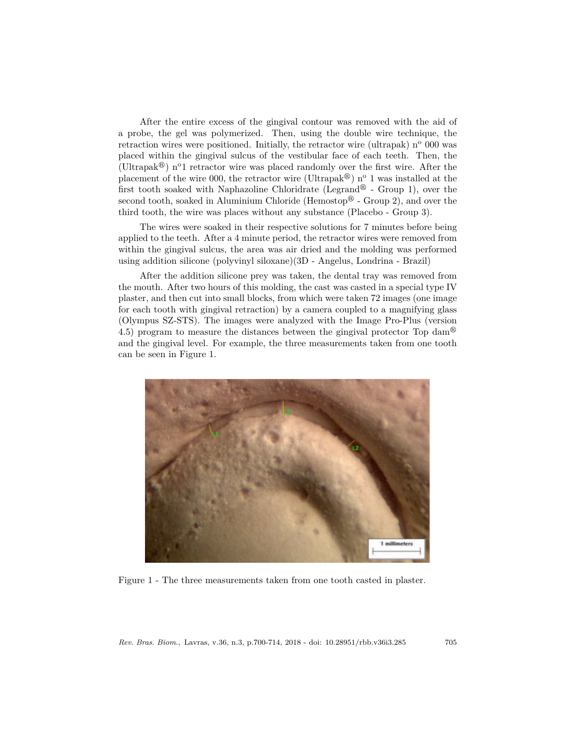After the entire excess of the gingival contour was removed with the aid of a probe, the gel was polymerized. Then, using the double wire technique, the retraction wires were positioned. Initially, the retractor wire (ultrapak)  $n^{\circ}$  000 was placed within the gingival sulcus of the vestibular face of each teeth. Then, the (Ultrapak<sup>®</sup>) n<sup>o</sup>1 retractor wire was placed randomly over the first wire. After the placement of the wire 000, the retractor wire (Ultrapak<sup> $\circledast$ </sup>) n<sup>o</sup> 1 was installed at the first tooth soaked with Naphazoline Chloridrate (Legrand<sup>®</sup> - Group 1), over the second tooth, soaked in Aluminium Chloride (Hemostop $\mathcal D$  - Group 2), and over the third tooth, the wire was places without any substance (Placebo - Group 3).

The wires were soaked in their respective solutions for 7 minutes before being applied to the teeth. After a 4 minute period, the retractor wires were removed from within the gingival sulcus, the area was air dried and the molding was performed using addition silicone (polyvinyl siloxane)(3D - Angelus, Londrina - Brazil)

After the addition silicone prey was taken, the dental tray was removed from the mouth. After two hours of this molding, the cast was casted in a special type IV plaster, and then cut into small blocks, from which were taken 72 images (one image for each tooth with gingival retraction) by a camera coupled to a magnifying glass (Olympus SZ-STS). The images were analyzed with the Image Pro-Plus (version 4.5) program to measure the distances between the gingival protector Top dam<sup> $\circledcirc$ </sup> and the gingival level. For example, the three measurements taken from one tooth can be seen in Figure 1.



Figure 1 - The three measurements taken from one tooth casted in plaster.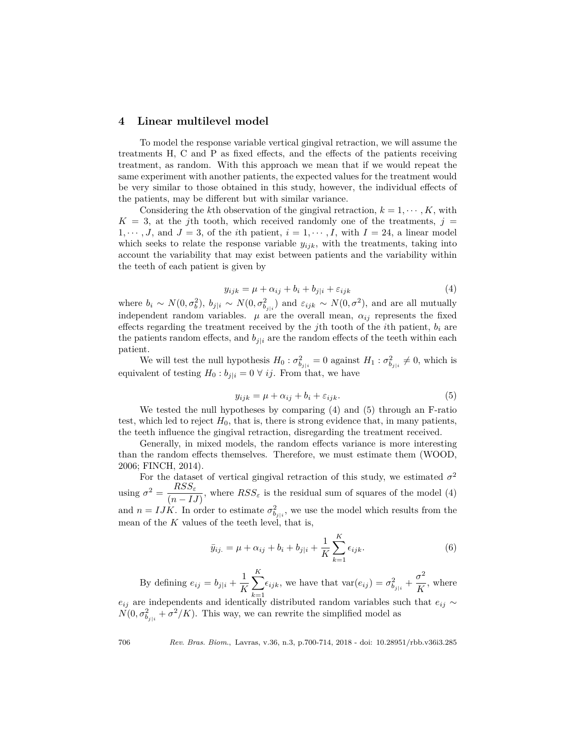## **4 Linear multilevel model**

To model the response variable vertical gingival retraction, we will assume the treatments H, C and P as fixed effects, and the effects of the patients receiving treatment, as random. With this approach we mean that if we would repeat the same experiment with another patients, the expected values for the treatment would be very similar to those obtained in this study, however, the individual effects of the patients, may be different but with similar variance.

Considering the *k*th observation of the gingival retraction,  $k = 1, \dots, K$ , with  $K = 3$ , at the *j*th tooth, which received randomly one of the treatments,  $j =$ 1,  $\dots$ , *J*, and *J* = 3, of the *i*th patient, *i* = 1,  $\dots$ , *I*, with *I* = 24, a linear model which seeks to relate the response variable  $y_{ijk}$ , with the treatments, taking into account the variability that may exist between patients and the variability within the teeth of each patient is given by

$$
y_{ijk} = \mu + \alpha_{ij} + b_i + b_{j|i} + \varepsilon_{ijk} \tag{4}
$$

where  $b_i \sim N(0, \sigma_b^2)$ ,  $b_{j|i} \sim N(0, \sigma_{b_{j|i}}^2)$  and  $\varepsilon_{ijk} \sim N(0, \sigma^2)$ , and are all mutually independent random variables.  $\mu$  are the overall mean,  $\alpha_{ij}$  represents the fixed effects regarding the treatment received by the *j*th tooth of the *i*th patient, *b<sup>i</sup>* are the patients random effects, and  $b_{j|i}$  are the random effects of the teeth within each patient.

We will test the null hypothesis  $H_0: \sigma_{b_{j|i}}^2 = 0$  against  $H_1: \sigma_{b_{j|i}}^2 \neq 0$ , which is equivalent of testing  $H_0: b_{i|i} = 0 \ \forall \ ij$ . From that, we have

$$
y_{ijk} = \mu + \alpha_{ij} + b_i + \varepsilon_{ijk}.
$$
 (5)

We tested the null hypotheses by comparing (4) and (5) through an F-ratio test, which led to reject  $H_0$ , that is, there is strong evidence that, in many patients, the teeth influence the gingival retraction, disregarding the treatment received.

Generally, in mixed models, the random effects variance is more interesting than the random effects themselves. Therefore, we must estimate them (WOOD, 2006; FINCH, 2014).

For the dataset of vertical gingival retraction of this study, we estimated  $\sigma^2$ using  $\sigma^2 = \frac{RSS_{\varepsilon}}{2}$  $\frac{1655 \varepsilon}{(n - IJ)}$ , where  $RSS_{\varepsilon}$  is the residual sum of squares of the model (4) and  $n = IJK$ . In order to estimate  $\sigma_{b_{j|i}}^2$ , we use the model which results from the mean of the  $K$  values of the teeth level, that is,

$$
\bar{y}_{ij.} = \mu + \alpha_{ij} + b_i + b_{j|i} + \frac{1}{K} \sum_{k=1}^{K} \epsilon_{ijk}.
$$
 (6)

By defining  $e_{ij} = b_{j|i} + \frac{1}{K}$ *K* X *K k*=1  $\epsilon_{ijk}$ , we have that  $\text{var}(e_{ij}) = \sigma_{b_{j|i}}^2 + \frac{\sigma^2}{K}$  $\frac{6}{K}$ , where

 $e_{ij}$  are independents and identically distributed random variables such that  $e_{ij}$  ∼  $N(0, \sigma_{b_{j|i}}^2 + \sigma^2/K)$ . This way, we can rewrite the simplified model as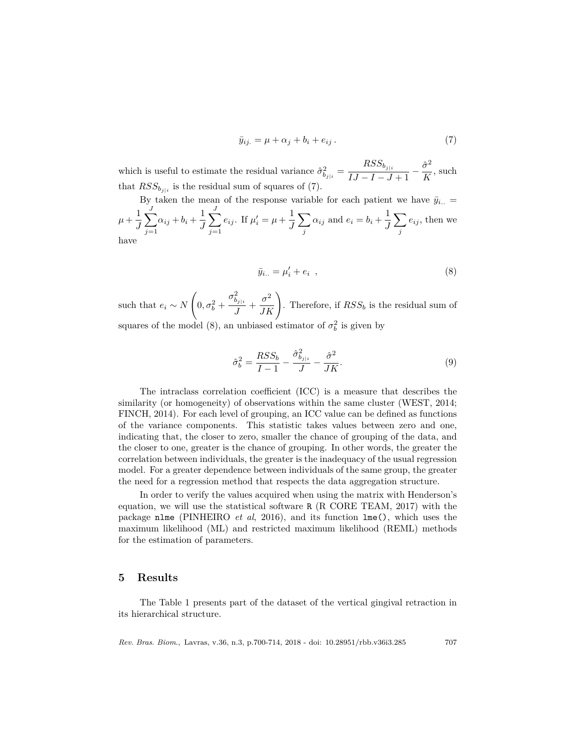$$
\bar{y}_{ij.} = \mu + \alpha_j + b_i + e_{ij} \,. \tag{7}
$$

which is useful to estimate the residual variance  $\hat{\sigma}_{b_{j|i}}^2 = \frac{RSS_{b_{j|i}}}{LI - I - J}$  $\frac{RSS_{b_{j|i}}}{IJ - I - J + 1} - \frac{\hat{\sigma}^2}{K}$  $\frac{6}{K}$ , such that  $RSS_{b_{j|i}}$  is the residual sum of squares of (7).

By taken the mean of the response variable for each patient we have 
$$
\bar{y}_{i..} = \mu + \frac{1}{J} \sum_{j=1}^{J} \alpha_{ij} + b_i + \frac{1}{J} \sum_{j=1}^{J} e_{ij}
$$
. If  $\mu'_i = \mu + \frac{1}{J} \sum_j \alpha_{ij}$  and  $e_i = b_i + \frac{1}{J} \sum_j e_{ij}$ , then we have

$$
\bar{y}_{i..} = \mu'_i + e_i \quad , \tag{8}
$$

such that  $e_i \sim N$  $\sqrt{ }$  $0, \sigma_b^2 +$  $\sigma^2_{b_{j|i}}$  $\left(\frac{\partial^2}{J} + \frac{\sigma^2}{JK}\right)$ . Therefore, if  $RSS_b$  is the residual sum of squares of the model (8), an unbiased estimator of  $\sigma_b^2$  is given by

$$
\hat{\sigma}_b^2 = \frac{RSS_b}{I - 1} - \frac{\hat{\sigma}_{b_{j|i}}^2}{J} - \frac{\hat{\sigma}^2}{JK}.
$$
\n(9)

The intraclass correlation coefficient (ICC) is a measure that describes the similarity (or homogeneity) of observations within the same cluster (WEST, 2014; FINCH, 2014). For each level of grouping, an ICC value can be defined as functions of the variance components. This statistic takes values between zero and one, indicating that, the closer to zero, smaller the chance of grouping of the data, and the closer to one, greater is the chance of grouping. In other words, the greater the correlation between individuals, the greater is the inadequacy of the usual regression model. For a greater dependence between individuals of the same group, the greater the need for a regression method that respects the data aggregation structure.

In order to verify the values acquired when using the matrix with Henderson's equation, we will use the statistical software R (R CORE TEAM, 2017) with the package nlme (PINHEIRO *et al*, 2016), and its function lme(), which uses the maximum likelihood (ML) and restricted maximum likelihood (REML) methods for the estimation of parameters.

### **5 Results**

The Table 1 presents part of the dataset of the vertical gingival retraction in its hierarchical structure.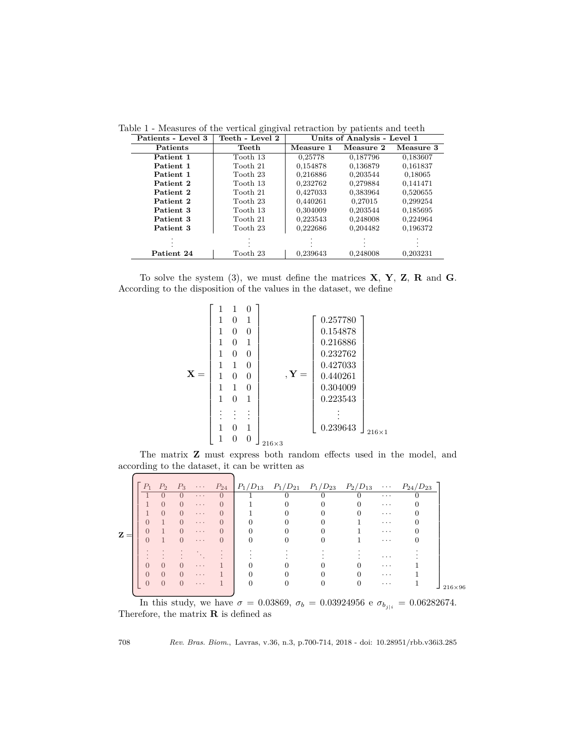| Patients - Level 3 | Teeth - Level 2 | Units of Analysis - Level 1 |           |           |  |  |
|--------------------|-----------------|-----------------------------|-----------|-----------|--|--|
| <b>Patients</b>    | Teeth           | Measure 1                   | Measure 2 | Measure 3 |  |  |
| Patient 1          | Tooth 13        | 0,25778                     | 0,187796  | 0,183607  |  |  |
| Patient 1          | Tooth 21        | 0,154878                    | 0,136879  | 0.161837  |  |  |
| Patient 1          | Tooth 23        | 0,216886                    | 0.203544  | 0,18065   |  |  |
| Patient 2          | Tooth 13        | 0,232762                    | 0,279884  | 0.141471  |  |  |
| Patient 2          | Tooth 21        | 0,427033                    | 0,383964  | 0,520655  |  |  |
| Patient 2          | Tooth 23        | 0,440261                    | 0,27015   | 0,299254  |  |  |
| Patient 3          | Tooth 13        | 0.304009                    | 0.203544  | 0,185695  |  |  |
| Patient 3          | Tooth 21        | 0.223543                    | 0,248008  | 0,224964  |  |  |
| Patient 3          | Tooth 23        | 0,222686                    | 0,204482  | 0,196372  |  |  |
|                    |                 |                             |           |           |  |  |
| Patient 24         | Tooth 23        | 0,239643                    | 0,248008  | 0,203231  |  |  |

Table 1 - Measures of the vertical gingival retraction by patients and teeth

To solve the system (3), we must define the matrices **X**, **Y**, **Z**, **R** and **G**. According to the disposition of the values in the dataset, we define



The matrix **Z** must express both random effects used in the model, and according to the dataset, it can be written as

|                | $P_1$    | P <sub>2</sub> | $P_3$            |            |          |        | $\cdots$ $P_{24}$ $P_1/D_{13}$ $P_1/D_{21}$ $P_1/D_{23}$ $P_2/D_{13}$ |          | $\cdots$ $P_{24}/D_{23}$ |               |
|----------------|----------|----------------|------------------|------------|----------|--------|-----------------------------------------------------------------------|----------|--------------------------|---------------|
|                |          |                |                  | $\cdots$   | $\Omega$ | $\cup$ | U                                                                     | $\cdots$ |                          |               |
|                |          | $\Omega$       | $\Omega$         | $\cdots$   | $\Omega$ |        |                                                                       | $\cdots$ |                          |               |
|                |          | $\Omega$       | $\Omega$         | $\cdots$   | O        |        |                                                                       | $\cdots$ |                          |               |
|                |          |                | $\Omega$         | $\cdots$   | $\Omega$ |        |                                                                       | $\cdot$  |                          |               |
| $\mathbf{z} =$ | 0        |                | $\Omega$         | $\ldots$ . | $\Omega$ |        |                                                                       | $\cdot$  |                          |               |
|                | $\Omega$ |                | $\Omega$         | $\ldots$ . | $\Omega$ |        |                                                                       | $\cdots$ |                          |               |
|                |          |                |                  |            |          |        |                                                                       |          |                          |               |
|                |          |                |                  |            |          |        |                                                                       | $\cdot$  |                          |               |
|                | O        | $\Omega$       | $\left( \right)$ | $\cdots$   |          |        |                                                                       | $\cdots$ |                          |               |
|                | $\Omega$ | $\Omega$       | $\Omega$         | $\cdots$   |          |        |                                                                       | $\cdot$  |                          |               |
|                |          | $\Omega$       | $\Omega$         | $\cdots$   |          |        |                                                                       | $\cdots$ |                          |               |
|                |          |                |                  |            |          |        |                                                                       |          |                          | $216\times96$ |

In this study, we have  $σ = 0.03869$ ,  $σ<sub>b</sub> = 0.03924956$  e  $σ<sub>b<sub>j|i</sub></sub> = 0.06282674$ . Therefore, the matrix **R** is defined as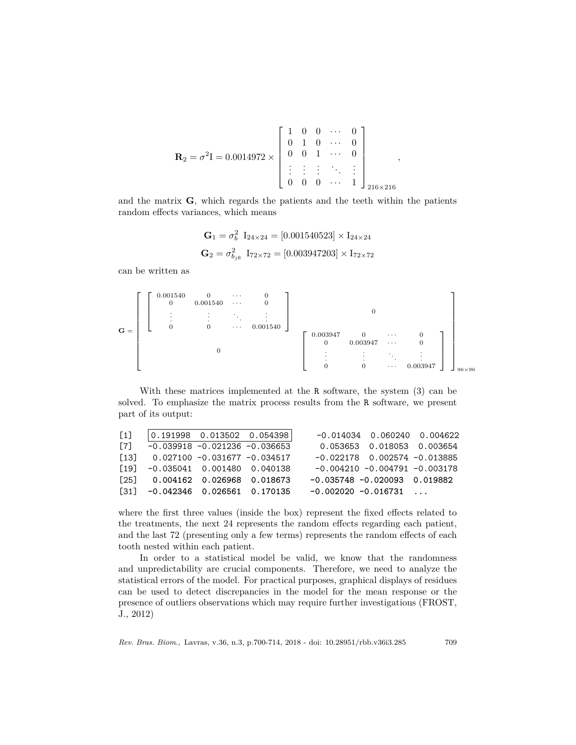$$
\mathbf{R}_2 = \sigma^2 \mathbf{I} = 0.0014972 \times \begin{bmatrix} 1 & 0 & 0 & \cdots & 0 \\ 0 & 1 & 0 & \cdots & 0 \\ 0 & 0 & 1 & \cdots & 0 \\ \vdots & \vdots & \vdots & \ddots & \vdots \\ 0 & 0 & 0 & \cdots & 1 \end{bmatrix}_{216 \times 216}
$$

*,*

and the matrix **G**, which regards the patients and the teeth within the patients random effects variances, which means

$$
\mathbf{G}_1 = \sigma_b^2 \ \mathbf{I}_{24 \times 24} = [0.001540523] \times \mathbf{I}_{24 \times 24}
$$
\n
$$
\mathbf{G}_2 = \sigma_{b_{j6}}^2 \ \mathbf{I}_{72 \times 72} = [0.003947203] \times \mathbf{I}_{72 \times 72}
$$

can be written as

$$
\mathbf{G} = \left[\begin{bmatrix} 0.001540 & 0 & \cdots & 0 \\ 0 & 0.001540 & \cdots & 0 \\ \vdots & \vdots & \ddots & \vdots \\ 0 & 0 & \cdots & 0.001540 \end{bmatrix}\right]_{96 \times 96} \left[\begin{array}{cccc} 0.003947 & 0 & \cdots & 0 \\ 0 & 0.003947 & \cdots & 0 \\ \vdots & \vdots & \ddots & \vdots \\ 0 & 0 & \cdots & 0.003947 \end{array}\right]\right]_{96 \times 96}
$$

With these matrices implemented at the R software, the system (3) can be solved. To emphasize the matrix process results from the R software, we present part of its output:

| $\lceil 1 \rceil$ | $\vert 0.191998 \quad 0.013502 \quad 0.054398 \vert$                    | $-0.014034$ 0.060240 0.004622     |
|-------------------|-------------------------------------------------------------------------|-----------------------------------|
| $\lceil 7 \rceil$ | $-0.039918 - 0.021236 - 0.036653$                                       | 0.053653 0.018053 0.003654        |
|                   | $\begin{bmatrix} 13 \end{bmatrix}$ 0.027100 -0.031677 -0.034517         | $-0.022178$ 0.002574 $-0.013885$  |
|                   | $\begin{bmatrix} 19 \\ -0.035041 \\ 0.001480 \\ 0.040138 \end{bmatrix}$ | $-0.004210 - 0.004791 - 0.003178$ |
|                   | $\begin{bmatrix} 25 \end{bmatrix}$ 0.004162 0.026968 0.018673           | $-0.035748 - 0.020093$ 0.019882   |
|                   | $\begin{bmatrix} 31 \end{bmatrix}$ -0.042346 0.026561 0.170135          | $-0.002020 - 0.016731$            |

where the first three values (inside the box) represent the fixed effects related to the treatments, the next 24 represents the random effects regarding each patient, and the last 72 (presenting only a few terms) represents the random effects of each tooth nested within each patient.

In order to a statistical model be valid, we know that the randomness and unpredictability are crucial components. Therefore, we need to analyze the statistical errors of the model. For practical purposes, graphical displays of residues can be used to detect discrepancies in the model for the mean response or the presence of outliers observations which may require further investigations (FROST, J., 2012)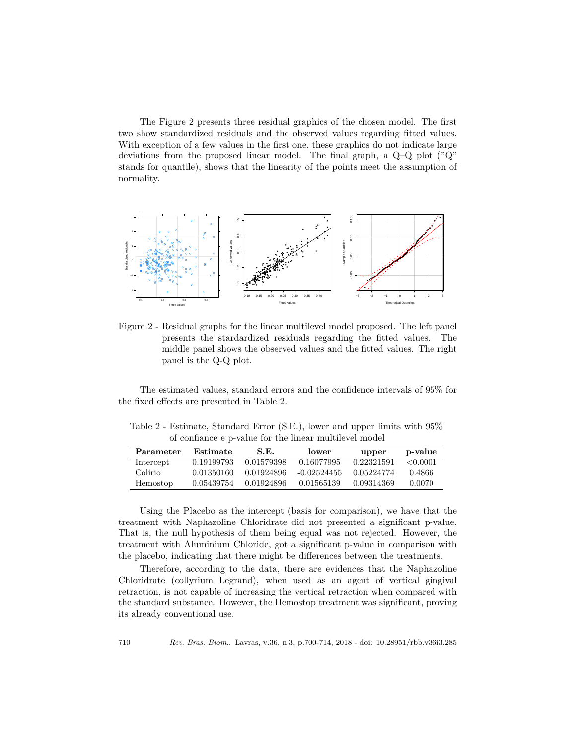The Figure 2 presents three residual graphics of the chosen model. The first two show standardized residuals and the observed values regarding fitted values. With exception of a few values in the first one, these graphics do not indicate large deviations from the proposed linear model. The final graph, a Q–Q plot ("Q" stands for quantile), shows that the linearity of the points meet the assumption of normality.



Figure 2 - Residual graphs for the linear multilevel model proposed. The left panel presents the stardardized residuals regarding the fitted values. The middle panel shows the observed values and the fitted values. The right panel is the Q-Q plot.

The estimated values, standard errors and the confidence intervals of 95% for the fixed effects are presented in Table 2.

Table 2 - Estimate, Standard Error (S.E.), lower and upper limits with 95% of confiance e p-value for the linear multilevel model

| Parameter | Estimate   | S.E.       | lower         | upper      | p-value       |
|-----------|------------|------------|---------------|------------|---------------|
| Intercept | 0.19199793 | 0.01579398 | 0.16077995    | 0.22321591 | $\leq 0.0001$ |
| Colírio   | 0.01350160 | 0.01924896 | $-0.02524455$ | 0.05224774 | 0.4866        |
| Hemostop  | 0.05439754 | 0.01924896 | 0.01565139    | 0.09314369 | 0.0070        |

Using the Placebo as the intercept (basis for comparison), we have that the treatment with Naphazoline Chloridrate did not presented a significant p-value. That is, the null hypothesis of them being equal was not rejected. However, the treatment with Aluminium Chloride, got a significant p-value in comparison with the placebo, indicating that there might be differences between the treatments.

Therefore, according to the data, there are evidences that the Naphazoline Chloridrate (collyrium Legrand), when used as an agent of vertical gingival retraction, is not capable of increasing the vertical retraction when compared with the standard substance. However, the Hemostop treatment was significant, proving its already conventional use.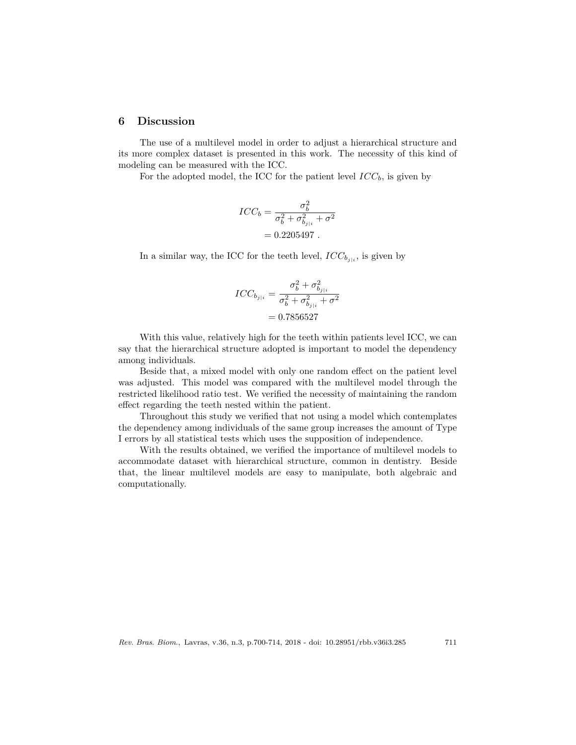#### **6 Discussion**

The use of a multilevel model in order to adjust a hierarchical structure and its more complex dataset is presented in this work. The necessity of this kind of modeling can be measured with the ICC.

For the adopted model, the ICC for the patient level  $ICC_b$ , is given by

$$
ICC_b = \frac{\sigma_b^2}{\sigma_b^2 + \sigma_{b_{j|i}}^2 + \sigma^2}
$$

$$
= 0.2205497.
$$

In a similar way, the ICC for the teeth level,  $ICC_{b_{j|i}}$ , is given by

$$
ICC_{b_{j|i}} = \frac{\sigma_b^2 + \sigma_{b_{j|i}}^2}{\sigma_b^2 + \sigma_{b_{j|i}}^2 + \sigma^2}
$$
  
= 0.7856527

With this value, relatively high for the teeth within patients level ICC, we can say that the hierarchical structure adopted is important to model the dependency among individuals.

Beside that, a mixed model with only one random effect on the patient level was adjusted. This model was compared with the multilevel model through the restricted likelihood ratio test. We verified the necessity of maintaining the random effect regarding the teeth nested within the patient.

Throughout this study we verified that not using a model which contemplates the dependency among individuals of the same group increases the amount of Type I errors by all statistical tests which uses the supposition of independence.

With the results obtained, we verified the importance of multilevel models to accommodate dataset with hierarchical structure, common in dentistry. Beside that, the linear multilevel models are easy to manipulate, both algebraic and computationally.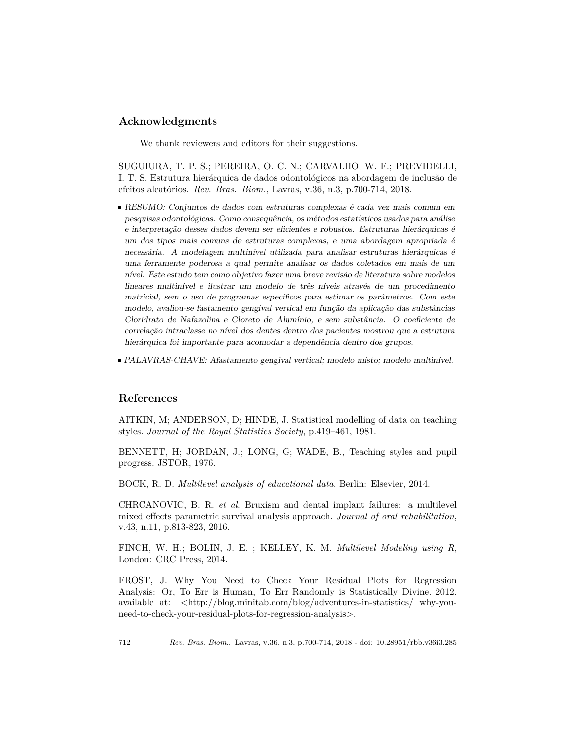## **Acknowledgments**

We thank reviewers and editors for their suggestions.

SUGUIURA, T. P. S.; PEREIRA, O. C. N.; CARVALHO, W. F.; PREVIDELLI, I. T. S. Estrutura hierárquica de dados odontológicos na abordagem de inclusão de efeitos aleatórios. *Rev. Bras. Biom.,* Lavras, v.36, n.3, p.700-714, 2018.

- RESUMO: Conjuntos de dados com estruturas complexas é cada vez mais comum em pesquisas odontológicas. Como consequência, os métodos estatísticos usados para análise e interpretação desses dados devem ser eficientes e robustos. Estruturas hierárquicas é um dos tipos mais comuns de estruturas complexas, e uma abordagem apropriada é necessária. A modelagem multinível utilizada para analisar estruturas hierárquicas é uma ferramente poderosa a qual permite analisar os dados coletados em mais de um nível. Este estudo tem como objetivo fazer uma breve revisão de literatura sobre modelos lineares multinível e ilustrar um modelo de três níveis através de um procedimento matricial, sem o uso de programas específicos para estimar os parâmetros. Com este modelo, avaliou-se fastamento gengival vertical em função da aplicação das substâncias Cloridrato de Nafazolina e Cloreto de Alumínio, e sem substância. O coeficiente de correlação intraclasse no nível dos dentes dentro dos pacientes mostrou que a estrutura hierárquica foi importante para acomodar a dependência dentro dos grupos.
- PALAVRAS-CHAVE: Afastamento gengival vertical; modelo misto; modelo multinível.

# **References**

AITKIN, M; ANDERSON, D; HINDE, J. Statistical modelling of data on teaching styles. *Journal of the Royal Statistics Society*, p.419–461, 1981.

BENNETT, H; JORDAN, J.; LONG, G; WADE, B., Teaching styles and pupil progress. JSTOR, 1976.

BOCK, R. D. *Multilevel analysis of educational data*. Berlin: Elsevier, 2014.

CHRCANOVIC, B. R. *et al*. Bruxism and dental implant failures: a multilevel mixed effects parametric survival analysis approach. *Journal of oral rehabilitation*, v.43, n.11, p.813-823, 2016.

FINCH, W. H.; BOLIN, J. E. ; KELLEY, K. M. *Multilevel Modeling using R*, London: CRC Press, 2014.

FROST, J. Why You Need to Check Your Residual Plots for Regression Analysis: Or, To Err is Human, To Err Randomly is Statistically Divine. 2012. available at:  $\langle \text{http://blog.minitab.com/blog/adventures-in-statistics/} why-you$ need-to-check-your-residual-plots-for-regression-analysis>.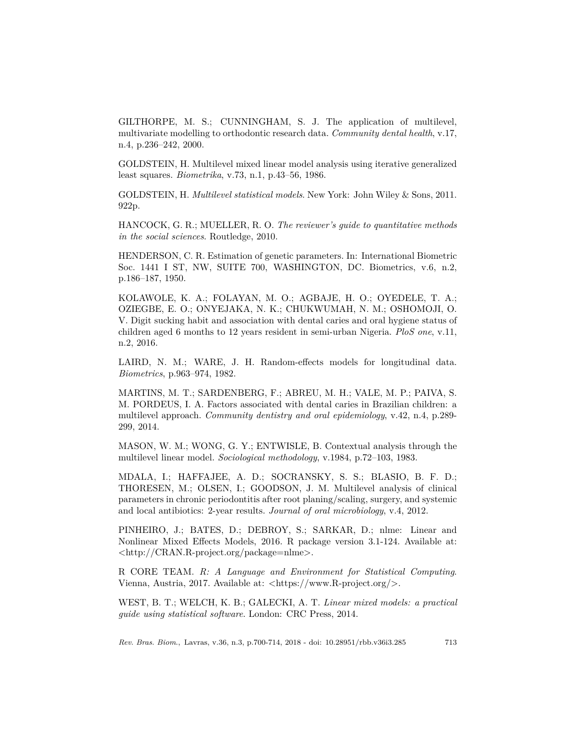GILTHORPE, M. S.; CUNNINGHAM, S. J. The application of multilevel, multivariate modelling to orthodontic research data. *Community dental health*, v.17, n.4, p.236–242, 2000.

GOLDSTEIN, H. Multilevel mixed linear model analysis using iterative generalized least squares. *Biometrika*, v.73, n.1, p.43–56, 1986.

GOLDSTEIN, H. *Multilevel statistical models*. New York: John Wiley & Sons, 2011. 922p.

HANCOCK, G. R.; MUELLER, R. O. *The reviewer's guide to quantitative methods in the social sciences*. Routledge, 2010.

HENDERSON, C. R. Estimation of genetic parameters. In: International Biometric Soc. 1441 I ST, NW, SUITE 700, WASHINGTON, DC. Biometrics, v.6, n.2, p.186–187, 1950.

KOLAWOLE, K. A.; FOLAYAN, M. O.; AGBAJE, H. O.; OYEDELE, T. A.; OZIEGBE, E. O.; ONYEJAKA, N. K.; CHUKWUMAH, N. M.; OSHOMOJI, O. V. Digit sucking habit and association with dental caries and oral hygiene status of children aged 6 months to 12 years resident in semi-urban Nigeria. *PloS one*, v.11, n.2, 2016.

LAIRD, N. M.; WARE, J. H. Random-effects models for longitudinal data. *Biometrics*, p.963–974, 1982.

MARTINS, M. T.; SARDENBERG, F.; ABREU, M. H.; VALE, M. P.; PAIVA, S. M. PORDEUS, I. A. Factors associated with dental caries in Brazilian children: a multilevel approach. *Community dentistry and oral epidemiology*, v.42, n.4, p.289- 299, 2014.

MASON, W. M.; WONG, G. Y.; ENTWISLE, B. Contextual analysis through the multilevel linear model. *Sociological methodology*, v.1984, p.72–103, 1983.

MDALA, I.; HAFFAJEE, A. D.; SOCRANSKY, S. S.; BLASIO, B. F. D.; THORESEN, M.; OLSEN, I.; GOODSON, J. M. Multilevel analysis of clinical parameters in chronic periodontitis after root planing/scaling, surgery, and systemic and local antibiotics: 2-year results. *Journal of oral microbiology*, v.4, 2012.

PINHEIRO, J.; BATES, D.; DEBROY, S.; SARKAR, D.; nlme: Linear and Nonlinear Mixed Effects Models, 2016. R package version 3.1-124. Available at: <http://CRAN.R-project.org/package=nlme>.

R CORE TEAM. *R: A Language and Environment for Statistical Computing*. Vienna, Austria, 2017. Available at: <https://www.R-project.org/>.

WEST, B. T.; WELCH, K. B.; GALECKI, A. T. *Linear mixed models: a practical guide using statistical software*. London: CRC Press, 2014.